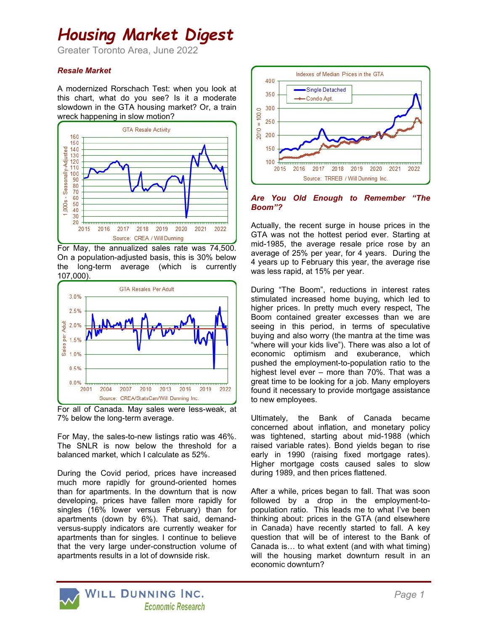# Housing Market Digest

Greater Toronto Area, June 2022

### Resale Market

A modernized Rorschach Test: when you look at this chart, what do you see? Is it a moderate slowdown in the GTA housing market? Or, a train wreck happening in slow motion?



For May, the annualized sales rate was 74,500. On a population-adjusted basis, this is 30% below the long-term average (which is currently 107,000).



For all of Canada. May sales were less-weak, at 7% below the long-term average.

For May, the sales-to-new listings ratio was 46%. The SNLR is now below the threshold for a balanced market, which I calculate as 52%.

During the Covid period, prices have increased much more rapidly for ground-oriented homes than for apartments. In the downturn that is now developing, prices have fallen more rapidly for singles (16% lower versus February) than for apartments (down by 6%). That said, demandversus-supply indicators are currently weaker for apartments than for singles. I continue to believe that the very large under-construction volume of apartments results in a lot of downside risk.



Are You Old Enough to Remember "The Boom"?

Actually, the recent surge in house prices in the GTA was not the hottest period ever. Starting at mid-1985, the average resale price rose by an average of 25% per year, for 4 years. During the 4 years up to February this year, the average rise was less rapid, at 15% per year.

During "The Boom", reductions in interest rates stimulated increased home buying, which led to higher prices. In pretty much every respect, The Boom contained greater excesses than we are seeing in this period, in terms of speculative buying and also worry (the mantra at the time was "where will your kids live"). There was also a lot of economic optimism and exuberance, which pushed the employment-to-population ratio to the highest level ever – more than 70%. That was a great time to be looking for a job. Many employers found it necessary to provide mortgage assistance to new employees.

Ultimately, the Bank of Canada became concerned about inflation, and monetary policy was tightened, starting about mid-1988 (which raised variable rates). Bond yields began to rise early in 1990 (raising fixed mortgage rates). Higher mortgage costs caused sales to slow during 1989, and then prices flattened.

After a while, prices began to fall. That was soon followed by a drop in the employment-topopulation ratio. This leads me to what I've been thinking about: prices in the GTA (and elsewhere in Canada) have recently started to fall. A key question that will be of interest to the Bank of Canada is… to what extent (and with what timing) will the housing market downturn result in an economic downturn?